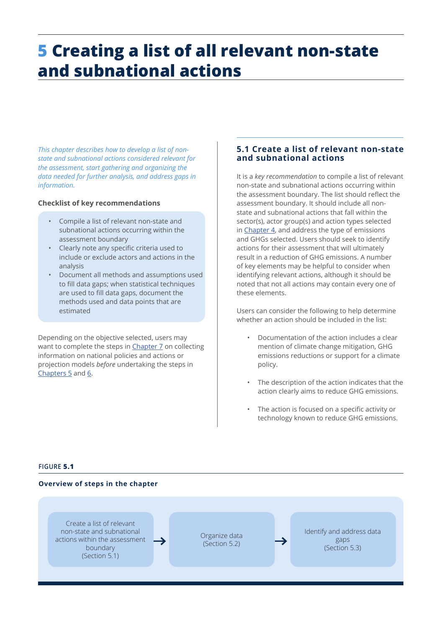# <span id="page-0-0"></span>**5 Creating a list of all relevant non-state and subnational actions**

*This chapter describes how to develop a list of nonstate and subnational actions considered relevant for the assessment, start gathering and organizing the data needed for further analysis, and address gaps in information.* 

## **Checklist of key recommendations**

- Compile a list of relevant non-state and subnational actions occurring within the assessment boundary
- Clearly note any specific criteria used to include or exclude actors and actions in the analysis
- Document all methods and assumptions used to fill data gaps; when statistical techniques are used to fill data gaps, document the methods used and data points that are estimated

Depending on the objective selected, users may want to complete the steps in [Chapter 7](#page-13-0) on collecting information on national policies and actions or projection models *before* undertaking the steps in Chapters 5 and [6](#page-6-0).

# **5.1 Create a list of relevant non-state and subnational actions**

It is a *key recommendation* to compile a list of relevant non-state and subnational actions occurring within the assessment boundary. The list should reflect the assessment boundary. It should include all nonstate and subnational actions that fall within the sector(s), actor group(s) and action types selected in Chapter 4, and address the type of emissions and GHGs selected. Users should seek to identify actions for their assessment that will ultimately result in a reduction of GHG emissions. A number of key elements may be helpful to consider when identifying relevant actions, although it should be noted that not all actions may contain every one of these elements.

Users can consider the following to help determine whether an action should be included in the list:

- Documentation of the action includes a clear mention of climate change mitigation, GHG emissions reductions or support for a climate policy.
- The description of the action indicates that the action clearly aims to reduce GHG emissions.
- The action is focused on a specific activity or technology known to reduce GHG emissions.

#### **FIGURE 5.1**

#### **Overview of steps in the chapter**

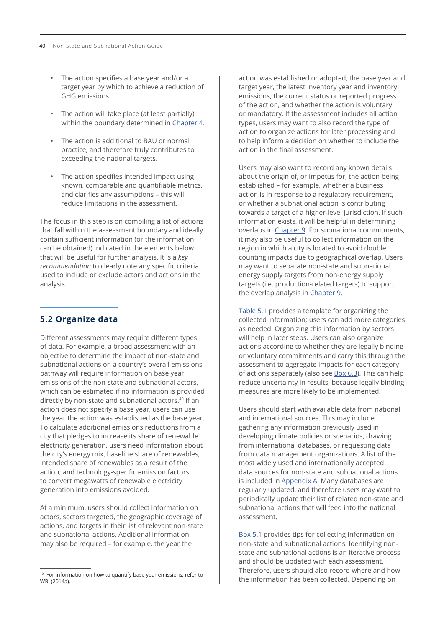- <span id="page-1-0"></span>• The action specifies a base year and/or a target year by which to achieve a reduction of GHG emissions.
- The action will take place (at least partially) within the boundary determined in Chapter 4.
- The action is additional to BAU or normal practice, and therefore truly contributes to exceeding the national targets.
- The action specifies intended impact using known, comparable and quantifiable metrics, and clarifies any assumptions – this will reduce limitations in the assessment.

The focus in this step is on compiling a list of actions that fall within the assessment boundary and ideally contain sufficient information (or the information can be obtained) indicated in the elements below that will be useful for further analysis. It is a *key recommendation* to clearly note any specific criteria used to include or exclude actors and actions in the analysis.

# **5.2 Organize data**

Different assessments may require different types of data. For example, a broad assessment with an objective to determine the impact of non-state and subnational actions on a country's overall emissions pathway will require information on base year emissions of the non-state and subnational actors, which can be estimated if no information is provided directly by non-state and subnational actors.<sup>40</sup> If an action does not specify a base year, users can use the year the action was established as the base year. To calculate additional emissions reductions from a city that pledges to increase its share of renewable electricity generation, users need information about the city's energy mix, baseline share of renewables, intended share of renewables as a result of the action, and technology-specific emission factors to convert megawatts of renewable electricity generation into emissions avoided.

At a minimum, users should collect information on actors, sectors targeted, the geographic coverage of actions, and targets in their list of relevant non-state and subnational actions. Additional information may also be required – for example, the year the

action was established or adopted, the base year and target year, the latest inventory year and inventory emissions, the current status or reported progress of the action, and whether the action is voluntary or mandatory. If the assessment includes all action types, users may want to also record the type of action to organize actions for later processing and to help inform a decision on whether to include the action in the final assessment.

Users may also want to record any known details about the origin of, or impetus for, the action being established – for example, whether a business action is in response to a regulatory requirement, or whether a subnational action is contributing towards a target of a higher-level jurisdiction. If such information exists, it will be helpful in determining overlaps in Chapter 9. For subnational commitments, it may also be useful to collect information on the region in which a city is located to avoid double counting impacts due to geographical overlap. Users may want to separate non-state and subnational energy supply targets from non-energy supply targets (i.e. production-related targets) to support the overlap analysis in Chapter 9.

[Table 5.1](#page-2-0) provides a template for organizing the collected information; users can add more categories as needed. Organizing this information by sectors will help in later steps. Users can also organize actions according to whether they are legally binding or voluntary commitments and carry this through the assessment to aggregate impacts for each category of actions separately (also see [Box 6.3](#page-10-0)). This can help reduce uncertainty in results, because legally binding measures are more likely to be implemented.

Users should start with available data from national and international sources. This may include gathering any information previously used in developing climate policies or scenarios, drawing from international databases, or requesting data from data management organizations. A list of the most widely used and internationally accepted data sources for non-state and subnational actions is included in Appendix A. Many databases are regularly updated, and therefore users may want to periodically update their list of related non-state and subnational actions that will feed into the national assessment.

[Box 5.1](#page-3-0) provides tips for collecting information on non-state and subnational actions. Identifying nonstate and subnational actions is an iterative process and should be updated with each assessment. Therefore, users should also record where and how the information has been collected. Depending on

<sup>&</sup>lt;sup>40</sup> For information on how to quantify base year emissions, refer to WRI (2014a).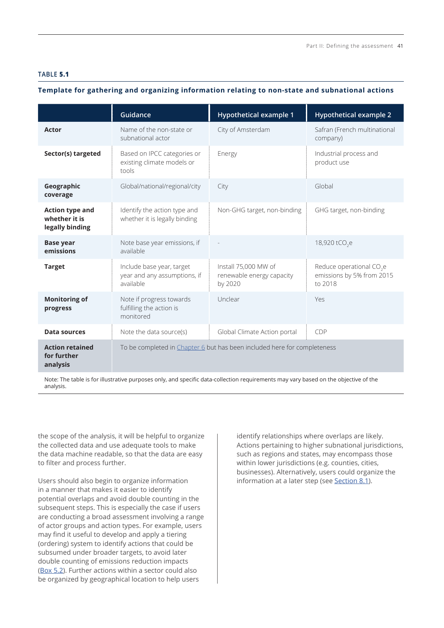#### <span id="page-2-0"></span>**TABLE 5.1**

# **Template for gathering and organizing information relating to non-state and subnational actions**

|                                                            | Guidance                                                                 | <b>Hypothetical example 1</b>                                | <b>Hypothetical example 2</b>                                                |
|------------------------------------------------------------|--------------------------------------------------------------------------|--------------------------------------------------------------|------------------------------------------------------------------------------|
| <b>Actor</b>                                               | Name of the non-state or<br>subnational actor                            | City of Amsterdam                                            | Safran (French multinational<br>company)                                     |
| Sector(s) targeted                                         | Based on IPCC categories or<br>existing climate models or<br>tools       | Energy                                                       | Industrial process and<br>product use                                        |
| Geographic<br>coverage                                     | Global/national/regional/city                                            | City                                                         | Global                                                                       |
| <b>Action type and</b><br>whether it is<br>legally binding | Identify the action type and<br>whether it is legally binding            | Non-GHG target, non-binding                                  | GHG target, non-binding                                                      |
| <b>Base year</b><br>emissions                              | Note base year emissions, if<br>available                                |                                                              | 18,920 tCO <sub>2</sub> e                                                    |
| <b>Target</b>                                              | Include base year, target<br>year and any assumptions, if<br>available   | Install 75,000 MW of<br>renewable energy capacity<br>by 2020 | Reduce operational CO <sub>2</sub> e<br>emissions by 5% from 2015<br>to 2018 |
| <b>Monitoring of</b><br>progress                           | Note if progress towards<br>fulfilling the action is<br>monitored        | Unclear                                                      | Yes                                                                          |
| Data sources                                               | Note the data source(s)                                                  | Global Climate Action portal                                 | CDP                                                                          |
| <b>Action retained</b><br>for further<br>analysis          | To be completed in Chapter 6 but has been included here for completeness |                                                              |                                                                              |

Note: The table is for illustrative purposes only, and specific data-collection requirements may vary based on the objective of the analysis.

the scope of the analysis, it will be helpful to organize the collected data and use adequate tools to make the data machine readable, so that the data are easy to filter and process further.

Users should also begin to organize information in a manner that makes it easier to identify potential overlaps and avoid double counting in the subsequent steps. This is especially the case if users are conducting a broad assessment involving a range of actor groups and action types. For example, users may find it useful to develop and apply a tiering (ordering) system to identify actions that could be subsumed under broader targets, to avoid later double counting of emissions reduction impacts ([Box 5.2](#page-3-0)). Further actions within a sector could also be organized by geographical location to help users

identify relationships where overlaps are likely. Actions pertaining to higher subnational jurisdictions, such as regions and states, may encompass those within lower jurisdictions (e.g. counties, cities, businesses). Alternatively, users could organize the information at a later step (see Section 8.1).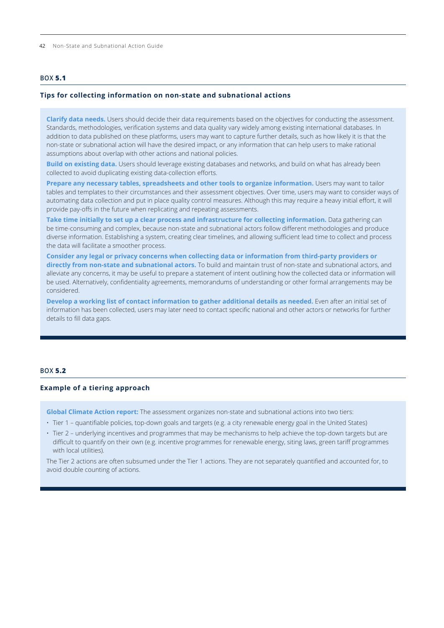<span id="page-3-0"></span>42 Non-State and Subnational Action Guide

### **BOX 5.1**

#### **Tips for collecting information on non-state and subnational actions**

**Clarify data needs.** Users should decide their data requirements based on the objectives for conducting the assessment. Standards, methodologies, verification systems and data quality vary widely among existing international databases. In addition to data published on these platforms, users may want to capture further details, such as how likely it is that the non-state or subnational action will have the desired impact, or any information that can help users to make rational assumptions about overlap with other actions and national policies.

**Build on existing data.** Users should leverage existing databases and networks, and build on what has already been collected to avoid duplicating existing data-collection efforts.

Prepare any necessary tables, spreadsheets and other tools to organize information. Users may want to tailor tables and templates to their circumstances and their assessment objectives. Over time, users may want to consider ways of automating data collection and put in place quality control measures. Although this may require a heavy initial effort, it will provide pay-offs in the future when replicating and repeating assessments.

**Take time initially to set up a clear process and infrastructure for collecting information.** Data gathering can be time-consuming and complex, because non-state and subnational actors follow different methodologies and produce diverse information. Establishing a system, creating clear timelines, and allowing sufficient lead time to collect and process the data will facilitate a smoother process.

**Consider any legal or privacy concerns when collecting data or information from third-party providers or directly from non-state and subnational actors.** To build and maintain trust of non-state and subnational actors, and alleviate any concerns, it may be useful to prepare a statement of intent outlining how the collected data or information will be used. Alternatively, confidentiality agreements, memorandums of understanding or other formal arrangements may be considered.

**Develop a working list of contact information to gather additional details as needed.** Even after an initial set of information has been collected, users may later need to contact specific national and other actors or networks for further details to fill data gaps.

#### **BOX 5.2**

#### **Example of a tiering approach**

**Global Climate Action report:** The assessment organizes non-state and subnational actions into two tiers:

- Tier 1 quantifiable policies, top-down goals and targets (e.g. a city renewable energy goal in the United States)
- Tier 2 underlying incentives and programmes that may be mechanisms to help achieve the top-down targets but are difficult to quantify on their own (e.g. incentive programmes for renewable energy, siting laws, green tariff programmes with local utilities).

The Tier 2 actions are often subsumed under the Tier 1 actions. They are not separately quantified and accounted for, to avoid double counting of actions.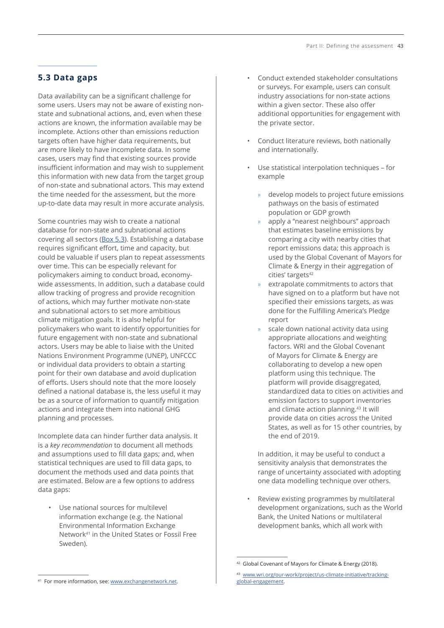# **5.3 Data gaps**

Data availability can be a significant challenge for some users. Users may not be aware of existing nonstate and subnational actions, and, even when these actions are known, the information available may be incomplete. Actions other than emissions reduction targets often have higher data requirements, but are more likely to have incomplete data. In some cases, users may find that existing sources provide insufficient information and may wish to supplement this information with new data from the target group of non-state and subnational actors. This may extend the time needed for the assessment, but the more up-to-date data may result in more accurate analysis.

Some countries may wish to create a national database for non-state and subnational actions covering all sectors ([Box 5.3](#page-5-0)). Establishing a database requires significant effort, time and capacity, but could be valuable if users plan to repeat assessments over time. This can be especially relevant for policymakers aiming to conduct broad, economywide assessments. In addition, such a database could allow tracking of progress and provide recognition of actions, which may further motivate non-state and subnational actors to set more ambitious climate mitigation goals. It is also helpful for policymakers who want to identify opportunities for future engagement with non-state and subnational actors. Users may be able to liaise with the United Nations Environment Programme (UNEP), UNFCCC or individual data providers to obtain a starting point for their own database and avoid duplication of efforts. Users should note that the more loosely defined a national database is, the less useful it may be as a source of information to quantify mitigation actions and integrate them into national GHG planning and processes.

Incomplete data can hinder further data analysis. It is a *key recommendation* to document all methods and assumptions used to fill data gaps; and, when statistical techniques are used to fill data gaps, to document the methods used and data points that are estimated. Below are a few options to address data gaps:

• Use national sources for multilevel information exchange (e.g. the National Environmental Information Exchange Network<sup>41</sup> in the United States or Fossil Free Sweden).

- Conduct extended stakeholder consultations or surveys. For example, users can consult industry associations for non-state actions within a given sector. These also offer additional opportunities for engagement with the private sector.
- Conduct literature reviews, both nationally and internationally.
- Use statistical interpolation techniques for example
	- » develop models to project future emissions pathways on the basis of estimated population or GDP growth
	- » apply a "nearest neighbours" approach that estimates baseline emissions by comparing a city with nearby cities that report emissions data; this approach is used by the Global Covenant of Mayors for Climate & Energy in their aggregation of cities' targets<sup>42</sup>
	- » extrapolate commitments to actors that have signed on to a platform but have not specified their emissions targets, as was done for the Fulfilling America's Pledge report
	- scale down national activity data using appropriate allocations and weighting factors. WRI and the Global Covenant of Mayors for Climate & Energy are collaborating to develop a new open platform using this technique. The platform will provide disaggregated, standardized data to cities on activities and emission factors to support inventories and climate action planning.<sup>43</sup> It will provide data on cities across the United States, as well as for 15 other countries, by the end of 2019.

In addition, it may be useful to conduct a sensitivity analysis that demonstrates the range of uncertainty associated with adopting one data modelling technique over others.

• Review existing programmes by multilateral development organizations, such as the World Bank, the United Nations or multilateral development banks, which all work with

<sup>42</sup> Global Covenant of Mayors for Climate & Energy (2018).

<sup>43</sup> [www.wri.org/our-work/project/us-climate-initiative/tracking](http://www.wri.org/our-work/project/us-climate-initiative/tracking-global-engagement)[global-engagement](http://www.wri.org/our-work/project/us-climate-initiative/tracking-global-engagement).

<sup>41</sup> For more information, see: [www.exchangenetwork.net](http://www.exchangenetwork.net).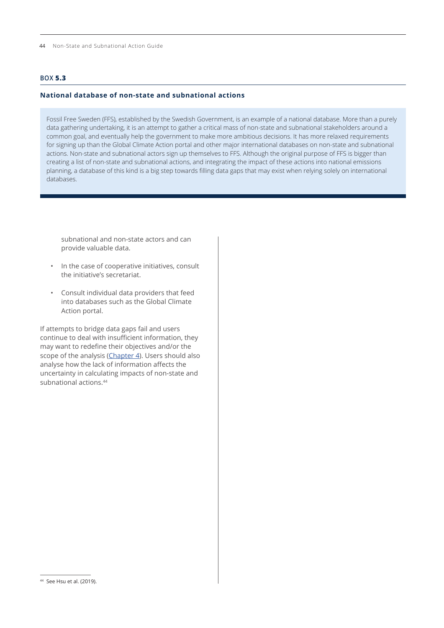# <span id="page-5-0"></span>**BOX 5.3**

## **National database of non-state and subnational actions**

Fossil Free Sweden (FFS), established by the Swedish Government, is an example of a national database. More than a purely data gathering undertaking, it is an attempt to gather a critical mass of non-state and subnational stakeholders around a common goal, and eventually help the government to make more ambitious decisions. It has more relaxed requirements for signing up than the Global Climate Action portal and other major international databases on non-state and subnational actions. Non-state and subnational actors sign up themselves to FFS. Although the original purpose of FFS is bigger than creating a list of non-state and subnational actions, and integrating the impact of these actions into national emissions planning, a database of this kind is a big step towards filling data gaps that may exist when relying solely on international databases.

subnational and non-state actors and can provide valuable data.

- In the case of cooperative initiatives, consult the initiative's secretariat.
- Consult individual data providers that feed into databases such as the Global Climate Action portal.

If attempts to bridge data gaps fail and users continue to deal with insufficient information, they may want to redefine their objectives and/or the scope of the analysis (Chapter 4). Users should also analyse how the lack of information affects the uncertainty in calculating impacts of non-state and subnational actions<sup>44</sup>

<sup>44</sup> See Hsu et al. (2019).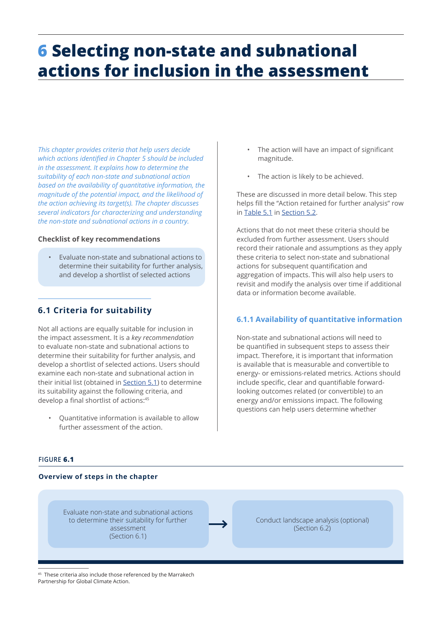# <span id="page-6-0"></span>**6 Selecting non-state and subnational actions for inclusion in the assessment**

*This chapter provides criteria that help users decide which actions identified in Chapter 5 should be included in the assessment. It explains how to determine the suitability of each non-state and subnational action based on the availability of quantitative information, the magnitude of the potential impact, and the likelihood of the action achieving its target(s). The chapter discusses several indicators for characterizing and understanding the non-state and subnational actions in a country.* 

#### **Checklist of key recommendations**

• Evaluate non-state and subnational actions to determine their suitability for further analysis, and develop a shortlist of selected actions

# **6.1 Criteria for suitability**

Not all actions are equally suitable for inclusion in the impact assessment. It is a *key recommendation* to evaluate non-state and subnational actions to determine their suitability for further analysis, and develop a shortlist of selected actions. Users should examine each non-state and subnational action in their initial list (obtained in [Section 5.1](#page-0-0)) to determine its suitability against the following criteria, and develop a final shortlist of actions:<sup>45</sup>

- Quantitative information is available to allow further assessment of the action.
- **FIGURE 6.1**

#### **Overview of steps in the chapter**

Evaluate non-state and subnational actions to determine their suitability for further assessment (Section 6.1)

Conduct landscape analysis (optional) (Section 6.2)

#### These criteria also include those referenced by the Marrakech Partnership for Global Climate Action.

- The action will have an impact of significant magnitude.
- The action is likely to be achieved.

These are discussed in more detail below. This step helps fill the "Action retained for further analysis" row in [Table](#page-2-0) 5.1 in [Section](#page-1-0) 5.2.

Actions that do not meet these criteria should be excluded from further assessment. Users should record their rationale and assumptions as they apply these criteria to select non-state and subnational actions for subsequent quantification and aggregation of impacts. This will also help users to revisit and modify the analysis over time if additional data or information become available.

# **6.1.1 Availability of quantitative information**

Non-state and subnational actions will need to be quantified in subsequent steps to assess their impact. Therefore, it is important that information is available that is measurable and convertible to energy- or emissions-related metrics. Actions should include specific, clear and quantifiable forwardlooking outcomes related (or convertible) to an energy and/or emissions impact. The following questions can help users determine whether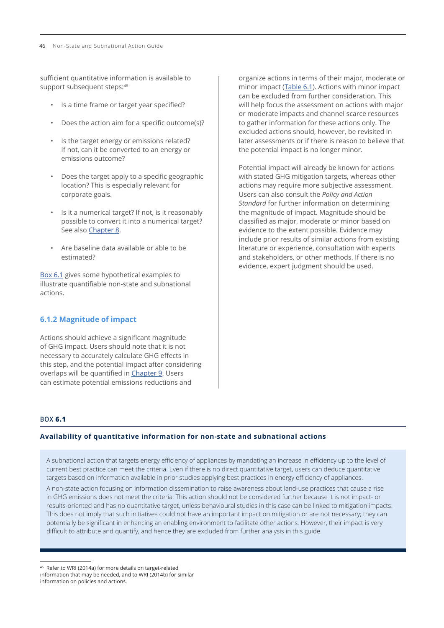sufficient quantitative information is available to support subsequent steps:<sup>46</sup>

- Is a time frame or target year specified?
- Does the action aim for a specific outcome(s)?
- Is the target energy or emissions related? If not, can it be converted to an energy or emissions outcome?
- Does the target apply to a specific geographic location? This is especially relevant for corporate goals.
- Is it a numerical target? If not, is it reasonably possible to convert it into a numerical target? See also Chapter 8.
- Are baseline data available or able to be estimated?

Box 6.1 gives some hypothetical examples to illustrate quantifiable non-state and subnational actions.

# **6.1.2 Magnitude of impact**

Actions should achieve a significant magnitude of GHG impact. Users should note that it is not necessary to accurately calculate GHG effects in this step, and the potential impact after considering overlaps will be quantified in Chapter 9. Users can estimate potential emissions reductions and

organize actions in terms of their major, moderate or minor impact ([Table 6.1](#page-8-0)). Actions with minor impact can be excluded from further consideration. This will help focus the assessment on actions with major or moderate impacts and channel scarce resources to gather information for these actions only. The excluded actions should, however, be revisited in later assessments or if there is reason to believe that the potential impact is no longer minor.

Potential impact will already be known for actions with stated GHG mitigation targets, whereas other actions may require more subjective assessment. Users can also consult the *Policy and Action Standard* for further information on determining the magnitude of impact. Magnitude should be classified as major, moderate or minor based on evidence to the extent possible. Evidence may include prior results of similar actions from existing literature or experience, consultation with experts and stakeholders, or other methods. If there is no evidence, expert judgment should be used.

# **BOX 6.1**

#### **Availability of quantitative information for non-state and subnational actions**

A subnational action that targets energy efficiency of appliances by mandating an increase in efficiency up to the level of current best practice can meet the criteria. Even if there is no direct quantitative target, users can deduce quantitative targets based on information available in prior studies applying best practices in energy efficiency of appliances.

A non-state action focusing on information dissemination to raise awareness about land-use practices that cause a rise in GHG emissions does not meet the criteria. This action should not be considered further because it is not impact- or results-oriented and has no quantitative target, unless behavioural studies in this case can be linked to mitigation impacts. This does not imply that such initiatives could not have an important impact on mitigation or are not necessary; they can potentially be significant in enhancing an enabling environment to facilitate other actions. However, their impact is very difficult to attribute and quantify, and hence they are excluded from further analysis in this guide.

<sup>46</sup> Refer to WRI (2014a) for more details on target-related information that may be needed, and to WRI (2014b) for similar information on policies and actions.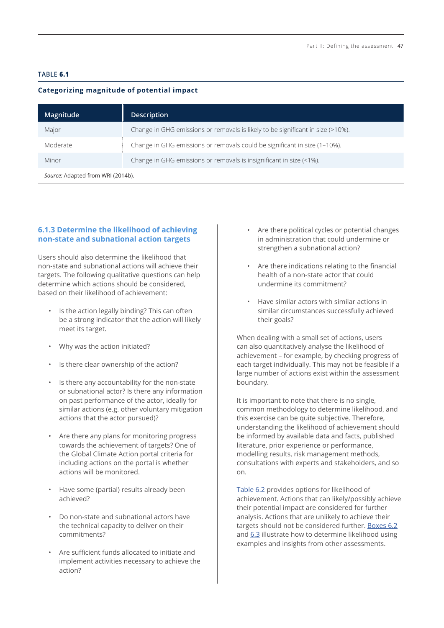## <span id="page-8-0"></span>**TABLE 6.1**

## **Categorizing magnitude of potential impact**

| Magnitude                         | <b>Description</b>                                                              |  |  |
|-----------------------------------|---------------------------------------------------------------------------------|--|--|
| Major                             | Change in GHG emissions or removals is likely to be significant in size (>10%). |  |  |
| Moderate                          | Change in GHG emissions or removals could be significant in size (1-10%).       |  |  |
| Minor                             | Change in GHG emissions or removals is insignificant in size (<1%).             |  |  |
| Source: Adapted from WRI (2014b). |                                                                                 |  |  |

# **6.1.3 Determine the likelihood of achieving non-state and subnational action targets**

Users should also determine the likelihood that non-state and subnational actions will achieve their targets. The following qualitative questions can help determine which actions should be considered, based on their likelihood of achievement:

- Is the action legally binding? This can often be a strong indicator that the action will likely meet its target.
- Why was the action initiated?
- Is there clear ownership of the action?
- Is there any accountability for the non-state or subnational actor? Is there any information on past performance of the actor, ideally for similar actions (e.g. other voluntary mitigation actions that the actor pursued)?
- Are there any plans for monitoring progress towards the achievement of targets? One of the Global Climate Action portal criteria for including actions on the portal is whether actions will be monitored.
- Have some (partial) results already been achieved?
- Do non-state and subnational actors have the technical capacity to deliver on their commitments?
- Are sufficient funds allocated to initiate and implement activities necessary to achieve the action?
- Are there political cycles or potential changes in administration that could undermine or strengthen a subnational action?
- Are there indications relating to the financial health of a non-state actor that could undermine its commitment?
- Have similar actors with similar actions in similar circumstances successfully achieved their goals?

When dealing with a small set of actions, users can also quantitatively analyse the likelihood of achievement – for example, by checking progress of each target individually. This may not be feasible if a large number of actions exist within the assessment boundary.

It is important to note that there is no single, common methodology to determine likelihood, and this exercise can be quite subjective. Therefore, understanding the likelihood of achievement should be informed by available data and facts, published literature, prior experience or performance, modelling results, risk management methods, consultations with experts and stakeholders, and so on.

[Table 6.2](#page-9-0) provides options for likelihood of achievement. Actions that can likely/possibly achieve their potential impact are considered for further analysis. Actions that are unlikely to achieve their targets should not be considered further. [Boxes 6.2](#page-10-0) and [6.3](#page-10-0) illustrate how to determine likelihood using examples and insights from other assessments.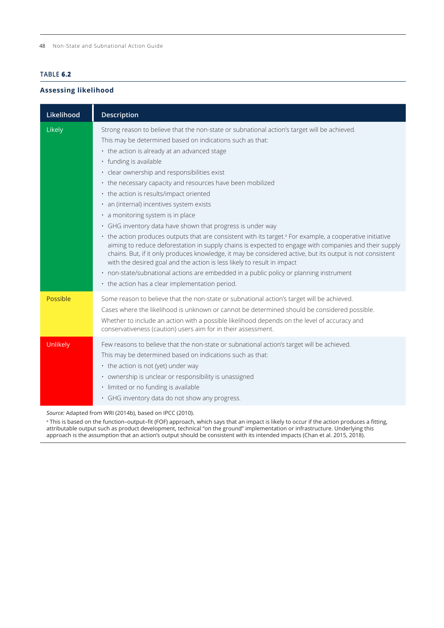### <span id="page-9-0"></span>**TABLE 6.2**

## **Assessing likelihood**

| Likelihood | <b>Description</b>                                                                                                                                                                                                                                                                                                                                                                                                                                                                                                                                                                                                                                                                                                                                                                                                                                                                                                                                                                                                                                                                                                 |
|------------|--------------------------------------------------------------------------------------------------------------------------------------------------------------------------------------------------------------------------------------------------------------------------------------------------------------------------------------------------------------------------------------------------------------------------------------------------------------------------------------------------------------------------------------------------------------------------------------------------------------------------------------------------------------------------------------------------------------------------------------------------------------------------------------------------------------------------------------------------------------------------------------------------------------------------------------------------------------------------------------------------------------------------------------------------------------------------------------------------------------------|
| Likely     | Strong reason to believe that the non-state or subnational action's target will be achieved.<br>This may be determined based on indications such as that:<br>• the action is already at an advanced stage<br>· funding is available<br>· clear ownership and responsibilities exist<br>• the necessary capacity and resources have been mobilized<br>• the action is results/impact oriented<br>· an (internal) incentives system exists<br>· a monitoring system is in place<br>• GHG inventory data have shown that progress is under way<br>• the action produces outputs that are consistent with its target. <sup>ª</sup> For example, a cooperative initiative<br>aiming to reduce deforestation in supply chains is expected to engage with companies and their supply<br>chains. But, if it only produces knowledge, it may be considered active, but its output is not consistent<br>with the desired goal and the action is less likely to result in impact<br>· non-state/subnational actions are embedded in a public policy or planning instrument<br>• the action has a clear implementation period. |
| Possible   | Some reason to believe that the non-state or subnational action's target will be achieved.<br>Cases where the likelihood is unknown or cannot be determined should be considered possible.<br>Whether to include an action with a possible likelihood depends on the level of accuracy and<br>conservativeness (caution) users aim for in their assessment.                                                                                                                                                                                                                                                                                                                                                                                                                                                                                                                                                                                                                                                                                                                                                        |
| Unlikely   | Few reasons to believe that the non-state or subnational action's target will be achieved.<br>This may be determined based on indications such as that:<br>• the action is not (yet) under way<br>• ownership is unclear or responsibility is unassigned<br>· limited or no funding is available<br>· GHG inventory data do not show any progress.                                                                                                                                                                                                                                                                                                                                                                                                                                                                                                                                                                                                                                                                                                                                                                 |

*Source:* Adapted from WRI (2014b), based on IPCC (2010).

a This is based on the function–output–fit (FOF) approach, which says that an impact is likely to occur if the action produces a fitting, attributable output such as product development, technical "on the ground" implementation or infrastructure. Underlying this approach is the assumption that an action's output should be consistent with its intended impacts (Chan et al. 2015, 2018).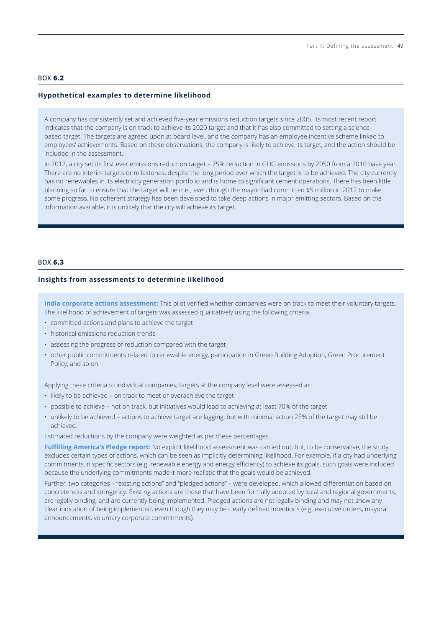#### <span id="page-10-0"></span>**BOX 6.2**

#### **Hypothetical examples to determine likelihood**

A company has consistently set and achieved five-year emissions reduction targets since 2005. Its most recent report indicates that the company is on track to achieve its 2020 target and that it has also committed to setting a sciencebased target. The targets are agreed upon at board level, and the company has an employee incentive scheme linked to employees' achievements. Based on these observations, the company is likely to achieve its target, and the action should be included in the assessment.

In 2012, a city set its first ever emissions reduction target – 75% reduction in GHG emissions by 2050 from a 2010 base year. There are no interim targets or milestones, despite the long period over which the target is to be achieved. The city currently has no renewables in its electricity generation portfolio and is home to significant cement operations. There has been little planning so far to ensure that the target will be met, even though the mayor had committed \$5 million in 2012 to make some progress. No coherent strategy has been developed to take deep actions in major emitting sectors. Based on the information available, it is unlikely that the city will achieve its target.

#### **BOX 6.3**

#### **Insights from assessments to determine likelihood**

**India corporate actions assessment:** This pilot verified whether companies were on track to meet their voluntary targets. The likelihood of achievement of targets was assessed qualitatively using the following criteria:

- committed actions and plans to achieve the target
- historical emissions reduction trends
- assessing the progress of reduction compared with the target
- other public commitments related to renewable energy, participation in Green Building Adoption, Green Procurement Policy, and so on.

Applying these criteria to individual companies, targets at the company level were assessed as:

- likely to be achieved on track to meet or overachieve the target
- possible to achieve not on track, but initiatives would lead to achieving at least 70% of the target
- unlikely to be achieved actions to achieve target are lagging, but with minimal action 25% of the target may still be achieved.

Estimated reductions by the company were weighted as per these percentages.

**Fulfilling America's Pledge report:** No explicit likelihood assessment was carried out, but, to be conservative, the study excludes certain types of actions, which can be seen as implicitly determining likelihood. For example, if a city had underlying commitments in specific sectors (e.g. renewable energy and energy efficiency) to achieve its goals, such goals were included because the underlying commitments made it more realistic that the goals would be achieved.

Further, two categories – "existing actions" and "pledged actions" – were developed, which allowed differentiation based on concreteness and stringency. Existing actions are those that have been formally adopted by local and regional governments, are legally binding, and are currently being implemented. Pledged actions are not legally binding and may not show any clear indication of being implemented, even though they may be clearly defined intentions (e.g. executive orders, mayoral announcements, voluntary corporate commitments).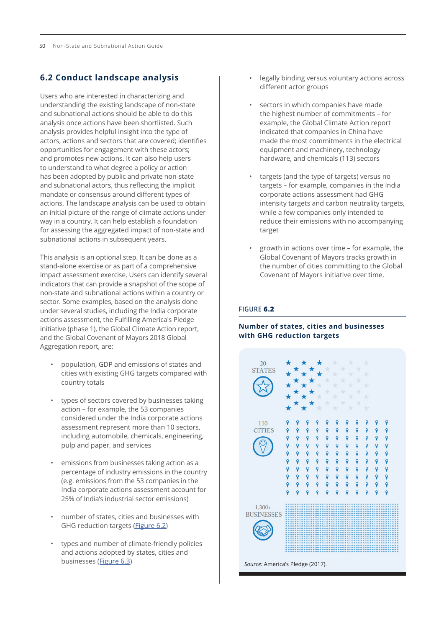# **6.2 Conduct landscape analysis**

Users who are interested in characterizing and understanding the existing landscape of non-state and subnational actions should be able to do this analysis once actions have been shortlisted. Such analysis provides helpful insight into the type of actors, actions and sectors that are covered; identifies opportunities for engagement with these actors; and promotes new actions. It can also help users to understand to what degree a policy or action has been adopted by public and private non-state and subnational actors, thus reflecting the implicit mandate or consensus around different types of actions. The landscape analysis can be used to obtain an initial picture of the range of climate actions under way in a country. It can help establish a foundation for assessing the aggregated impact of non-state and subnational actions in subsequent years.

This analysis is an optional step. It can be done as a stand-alone exercise or as part of a comprehensive impact assessment exercise. Users can identify several indicators that can provide a snapshot of the scope of non-state and subnational actions within a country or sector. Some examples, based on the analysis done under several studies, including the India corporate actions assessment, the Fulfilling America's Pledge initiative (phase 1), the Global Climate Action report, and the Global Covenant of Mayors 2018 Global Aggregation report, are:

- population, GDP and emissions of states and cities with existing GHG targets compared with country totals
- types of sectors covered by businesses taking action – for example, the 53 companies considered under the India corporate actions assessment represent more than 10 sectors, including automobile, chemicals, engineering, pulp and paper, and services
- emissions from businesses taking action as a percentage of industry emissions in the country (e.g. emissions from the 53 companies in the India corporate actions assessment account for 25% of India's industrial sector emissions)
- number of states, cities and businesses with GHG reduction targets (Figure 6.2)
- types and number of climate-friendly policies and actions adopted by states, cities and businesses ([Figure 6.3](#page-12-0))
- legally binding versus voluntary actions across different actor groups
- sectors in which companies have made the highest number of commitments – for example, the Global Climate Action report indicated that companies in China have made the most commitments in the electrical equipment and machinery, technology hardware, and chemicals (113) sectors
- targets (and the type of targets) versus no targets – for example, companies in the India corporate actions assessment had GHG intensity targets and carbon neutrality targets, while a few companies only intended to reduce their emissions with no accompanying target
- growth in actions over time for example, the Global Covenant of Mayors tracks growth in the number of cities committing to the Global Covenant of Mayors initiative over time.

### **FIGURE 6.2**

## **Number of states, cities and businesses with GHG reduction targets**

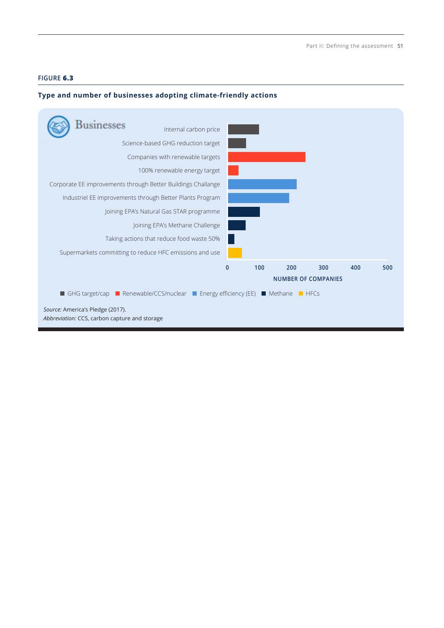*ICAT Non-State and Subnational Action Guide, October 2019*

## <span id="page-12-0"></span>**FIGURE 6.3**

## **Type and number of businesses adopting climate-friendly actions**

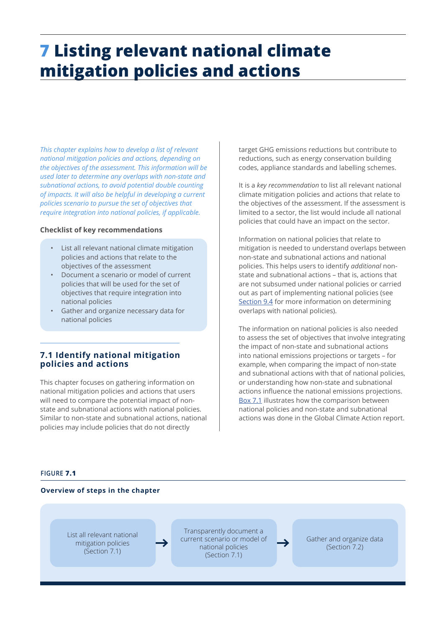# <span id="page-13-0"></span>**7 Listing relevant national climate mitigation policies and actions**

*This chapter explains how to develop a list of relevant national mitigation policies and actions, depending on the objectives of the assessment. This information will be used later to determine any overlaps with non-state and subnational actions, to avoid potential double counting of impacts. It will also be helpful in developing a current policies scenario to pursue the set of objectives that require integration into national policies, if applicable.*

#### **Checklist of key recommendations**

- List all relevant national climate mitigation policies and actions that relate to the objectives of the assessment
- Document a scenario or model of current policies that will be used for the set of objectives that require integration into national policies
- Gather and organize necessary data for national policies

# **7.1 Identify national mitigation policies and actions**

This chapter focuses on gathering information on national mitigation policies and actions that users will need to compare the potential impact of nonstate and subnational actions with national policies. Similar to non-state and subnational actions, national policies may include policies that do not directly

target GHG emissions reductions but contribute to reductions, such as energy conservation building codes, appliance standards and labelling schemes.

It is a *key recommendation* to list all relevant national climate mitigation policies and actions that relate to the objectives of the assessment. If the assessment is limited to a sector, the list would include all national policies that could have an impact on the sector.

Information on national policies that relate to mitigation is needed to understand overlaps between non-state and subnational actions and national policies. This helps users to identify *additional* nonstate and subnational actions – that is, actions that are not subsumed under national policies or carried out as part of implementing national policies (see Section 9.4 for more information on determining overlaps with national policies).

The information on national policies is also needed to assess the set of objectives that involve integrating the impact of non-state and subnational actions into national emissions projections or targets – for example, when comparing the impact of non-state and subnational actions with that of national policies, or understanding how non-state and subnational actions influence the national emissions projections. [Box 7.1](#page-14-0) illustrates how the comparison between national policies and non-state and subnational actions was done in the Global Climate Action report.

#### **FIGURE 7.1**

#### **Overview of steps in the chapter**

List all relevant national mitigation policies (Section 7.1)

Transparently document a current scenario or model of national policies (Section 7.1)

Gather and organize data (Section 7.2)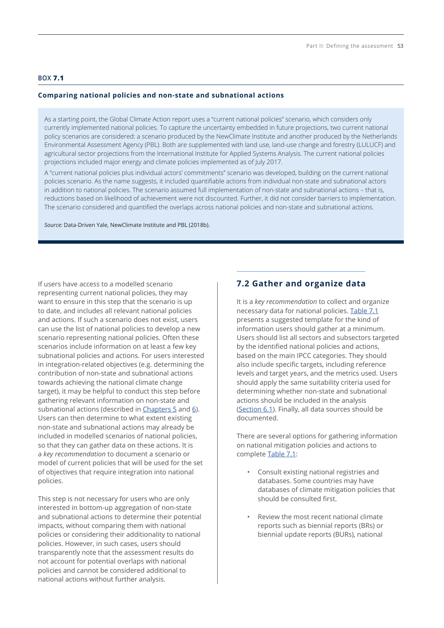### <span id="page-14-0"></span>**BOX 7.1**

#### **Comparing national policies and non-state and subnational actions**

As a starting point, the Global Climate Action report uses a "current national policies" scenario, which considers only currently implemented national policies. To capture the uncertainty embedded in future projections, two current national policy scenarios are considered: a scenario produced by the NewClimate Institute and another produced by the Netherlands Environmental Assessment Agency (PBL). Both are supplemented with land use, land-use change and forestry (LULUCF) and agricultural sector projections from the International Institute for Applied Systems Analysis. The current national policies projections included major energy and climate policies implemented as of July 2017.

A "current national policies plus individual actors' commitments" scenario was developed, building on the current national policies scenario. As the name suggests, it included quantifiable actions from individual non-state and subnational actors in addition to national policies. The scenario assumed full implementation of non-state and subnational actions – that is, reductions based on likelihood of achievement were not discounted. Further, it did not consider barriers to implementation. The scenario considered and quantified the overlaps across national policies and non-state and subnational actions.

*Source:* Data-Driven Yale, NewClimate Institute and PBL (2018b).

If users have access to a modelled scenario representing current national policies, they may want to ensure in this step that the scenario is up to date, and includes all relevant national policies and actions. If such a scenario does not exist, users can use the list of national policies to develop a new scenario representing national policies. Often these scenarios include information on at least a few key subnational policies and actions. For users interested in integration-related objectives (e.g. determining the contribution of non-state and subnational actions towards achieving the national climate change target), it may be helpful to conduct this step before gathering relevant information on non-state and subnational actions (described in [Chapters 5](#page-0-0) and [6\)](#page-6-0). Users can then determine to what extent existing non-state and subnational actions may already be included in modelled scenarios of national policies, so that they can gather data on these actions. It is a *key recommendation* to document a scenario or model of current policies that will be used for the set of objectives that require integration into national policies.

This step is not necessary for users who are only interested in bottom-up aggregation of non-state and subnational actions to determine their potential impacts, without comparing them with national policies or considering their additionality to national policies. However, in such cases, users should transparently note that the assessment results do not account for potential overlaps with national policies and cannot be considered additional to national actions without further analysis.

# **7.2 Gather and organize data**

It is a *key recommendation* to collect and organize necessary data for national policies. [Table 7.1](#page-15-0) presents a suggested template for the kind of information users should gather at a minimum. Users should list all sectors and subsectors targeted by the identified national policies and actions, based on the main IPCC categories. They should also include specific targets, including reference levels and target years, and the metrics used. Users should apply the same suitability criteria used for determining whether non-state and subnational actions should be included in the analysis ([Section 6.1](#page-6-0)). Finally, all data sources should be documented.

There are several options for gathering information on national mitigation policies and actions to complete [Table 7.1](#page-15-0):

- Consult existing national registries and databases. Some countries may have databases of climate mitigation policies that should be consulted first.
- Review the most recent national climate reports such as biennial reports (BRs) or biennial update reports (BURs), national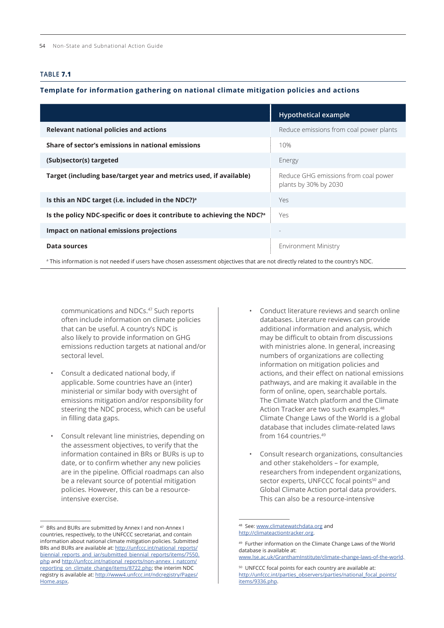#### <span id="page-15-0"></span>**TABLE 7.1**

#### **Template for information gathering on national climate mitigation policies and actions**

|                                                                                     | <b>Hypothetical example</b>                                   |
|-------------------------------------------------------------------------------------|---------------------------------------------------------------|
| Relevant national policies and actions                                              | Reduce emissions from coal power plants                       |
| Share of sector's emissions in national emissions                                   | 10%                                                           |
| (Sub)sector(s) targeted                                                             | Energy                                                        |
| Target (including base/target year and metrics used, if available)                  | Reduce GHG emissions from coal power<br>plants by 30% by 2030 |
| Is this an NDC target (i.e. included in the NDC?) <sup>a</sup>                      | Yes.                                                          |
| Is the policy NDC-specific or does it contribute to achieving the NDC? <sup>a</sup> | Yes                                                           |
| Impact on national emissions projections                                            |                                                               |
| <b>Data sources</b>                                                                 | <b>Environment Ministry</b>                                   |
|                                                                                     |                                                               |

a This information is not needed if users have chosen assessment objectives that are not directly related to the country's NDC.

communications and NDCs.<sup>47</sup> Such reports often include information on climate policies that can be useful. A country's NDC is also likely to provide information on GHG emissions reduction targets at national and/or sectoral level.

- Consult a dedicated national body, if applicable. Some countries have an (inter) ministerial or similar body with oversight of emissions mitigation and/or responsibility for steering the NDC process, which can be useful in filling data gaps.
- Consult relevant line ministries, depending on the assessment objectives, to verify that the information contained in BRs or BURs is up to date, or to confirm whether any new policies are in the pipeline. Official roadmaps can also be a relevant source of potential mitigation policies. However, this can be a resourceintensive exercise.
- Conduct literature reviews and search online databases. Literature reviews can provide additional information and analysis, which may be difficult to obtain from discussions with ministries alone. In general, increasing numbers of organizations are collecting information on mitigation policies and actions, and their effect on national emissions pathways, and are making it available in the form of online, open, searchable portals. The Climate Watch platform and the Climate Action Tracker are two such examples.<sup>48</sup> Climate Change Laws of the World is a global database that includes climate-related laws from 164 countries.<sup>49</sup>
- Consult research organizations, consultancies and other stakeholders – for example, researchers from independent organizations, sector experts, UNFCCC focal points<sup>50</sup> and Global Climate Action portal data providers. This can also be a resource-intensive

<sup>47</sup> BRs and BURs are submitted by Annex I and non-Annex I countries, respectively, to the UNFCCC secretariat, and contain information about national climate mitigation policies. Submitted BRs and BURs are available at: [http://unfccc.int/national\\_reports/](http://unfccc.int/national_reports/biennial_reports_and_iar/submitted_biennial_reports/items/7550.php) [biennial\\_reports\\_and\\_iar/submitted\\_biennial\\_reports/items/7550.](http://unfccc.int/national_reports/biennial_reports_and_iar/submitted_biennial_reports/items/7550.php) [php](http://unfccc.int/national_reports/biennial_reports_and_iar/submitted_biennial_reports/items/7550.php) and [http://unfccc.int/national\\_reports/non-annex\\_i\\_natcom/](http://unfccc.int/national_reports/non-annex_i_natcom/reporting_on_climate_change/items/8722.php) [reporting\\_on\\_climate\\_change/items/8722.php](http://unfccc.int/national_reports/non-annex_i_natcom/reporting_on_climate_change/items/8722.php); the interim NDC registry is available at: [http://www4.unfccc.int/ndcregistry/Pages/](http://www4.unfccc.int/ndcregistry/Pages/Home.aspx) [Home.aspx.](http://www4.unfccc.int/ndcregistry/Pages/Home.aspx)

<sup>48</sup> See: [www.climatewatchdata.org](http://www.climatewatchdata.org) and <http://climateactiontracker.org>.

<sup>49</sup> Further information on the Climate Change Laws of the World database is available at:

[www.lse.ac.uk/GranthamInstitute/climate-change-laws-of-the-world](http://www.lse.ac.uk/GranthamInstitute/climate-change-laws-of-the-world).

<sup>50</sup> UNFCCC focal points for each country are available at: [http://unfccc.int/parties\\_observers/parties/national\\_focal\\_points/](http://unfccc.int/parties_observers/parties/national_focal_points/items/9336.php) [items/9336.php](http://unfccc.int/parties_observers/parties/national_focal_points/items/9336.php).